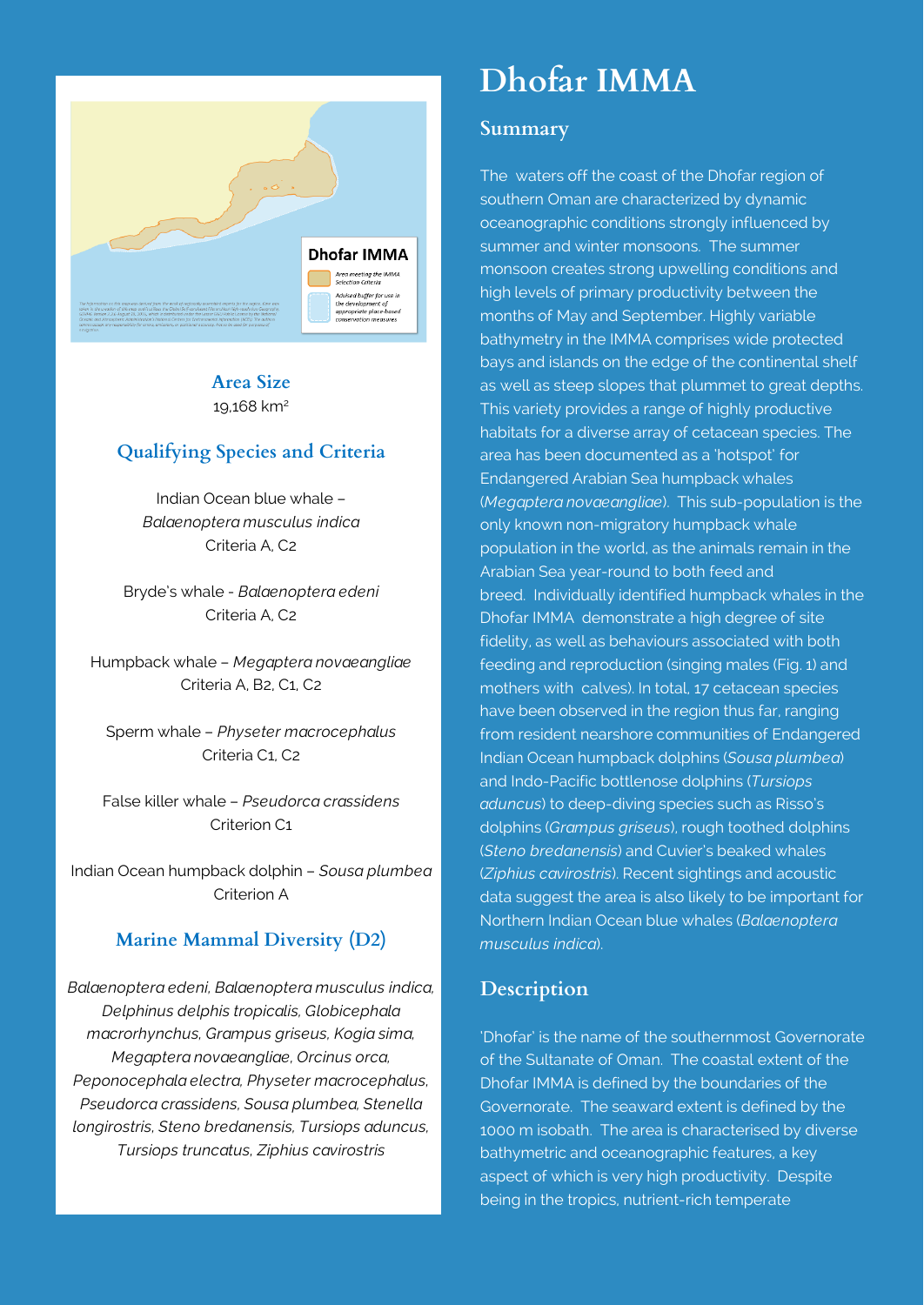

#### **Area Size** 19,168 km2

## **Qualifying Species and Criteria**

Indian Ocean blue whale – *Balaenoptera musculus indica* Criteria A, C2

Bryde's whale - *Balaenoptera edeni* Criteria A, C2

Humpback whale – *Megaptera novaeangliae* Criteria A, B2, C1, C2

Sperm whale – *Physeter macrocephalus* Criteria C1, C2

False killer whale – *Pseudorca crassidens* Criterion C1

Indian Ocean humpback dolphin – *Sousa plumbea* Criterion A

## **Marine Mammal Diversity (D2)**

*Balaenoptera edeni, Balaenoptera musculus indica, Delphinus delphis tropicalis, Globicephala macrorhynchus, Grampus griseus, Kogia sima, Megaptera novaeangliae, Orcinus orca, Peponocephala electra, Physeter macrocephalus, Pseudorca crassidens, Sousa plumbea, Stenella longirostris, Steno bredanensis, Tursiops aduncus, Tursiops truncatus, Ziphius cavirostris*

# **Dhofar IMMA**

#### **Summary**

The waters off the coast of the Dhofar region of southern Oman are characterized by dynamic oceanographic conditions strongly influenced by summer and winter monsoons. The summer monsoon creates strong upwelling conditions and high levels of primary productivity between the months of May and September. Highly variable bathymetry in the IMMA comprises wide protected bays and islands on the edge of the continental shelf as well as steep slopes that plummet to great depths. This variety provides a range of highly productive habitats for a diverse array of cetacean species. The area has been documented as a 'hotspot' for Endangered Arabian Sea humpback whales (*Megaptera novaeangliae*). This sub-population is the only known non-migratory humpback whale population in the world, as the animals remain in the Arabian Sea year-round to both feed and breed. Individually identified humpback whales in the Dhofar IMMA demonstrate a high degree of site fidelity, as well as behaviours associated with both feeding and reproduction (singing males (Fig. 1) and mothers with calves). In total, 17 cetacean species have been observed in the region thus far, ranging from resident nearshore communities of Endangered Indian Ocean humpback dolphins (*Sousa plumbea*) and Indo-Pacific bottlenose dolphins (*Tursiops aduncus*) to deep-diving species such as Risso's dolphins (*Grampus griseus*), rough toothed dolphins (*Steno bredanensis*) and Cuvier's beaked whales (*Ziphius cavirostris*). Recent sightings and acoustic data suggest the area is also likely to be important for Northern Indian Ocean blue whales (*Balaenoptera musculus indica*).

#### **Description**

'Dhofar' is the name of the southernmost Governorate of the Sultanate of Oman. The coastal extent of the Dhofar IMMA is defined by the boundaries of the Governorate. The seaward extent is defined by the 1000 m isobath. The area is characterised by diverse bathymetric and oceanographic features, a key aspect of which is very high productivity. Despite being in the tropics, nutrient-rich temperate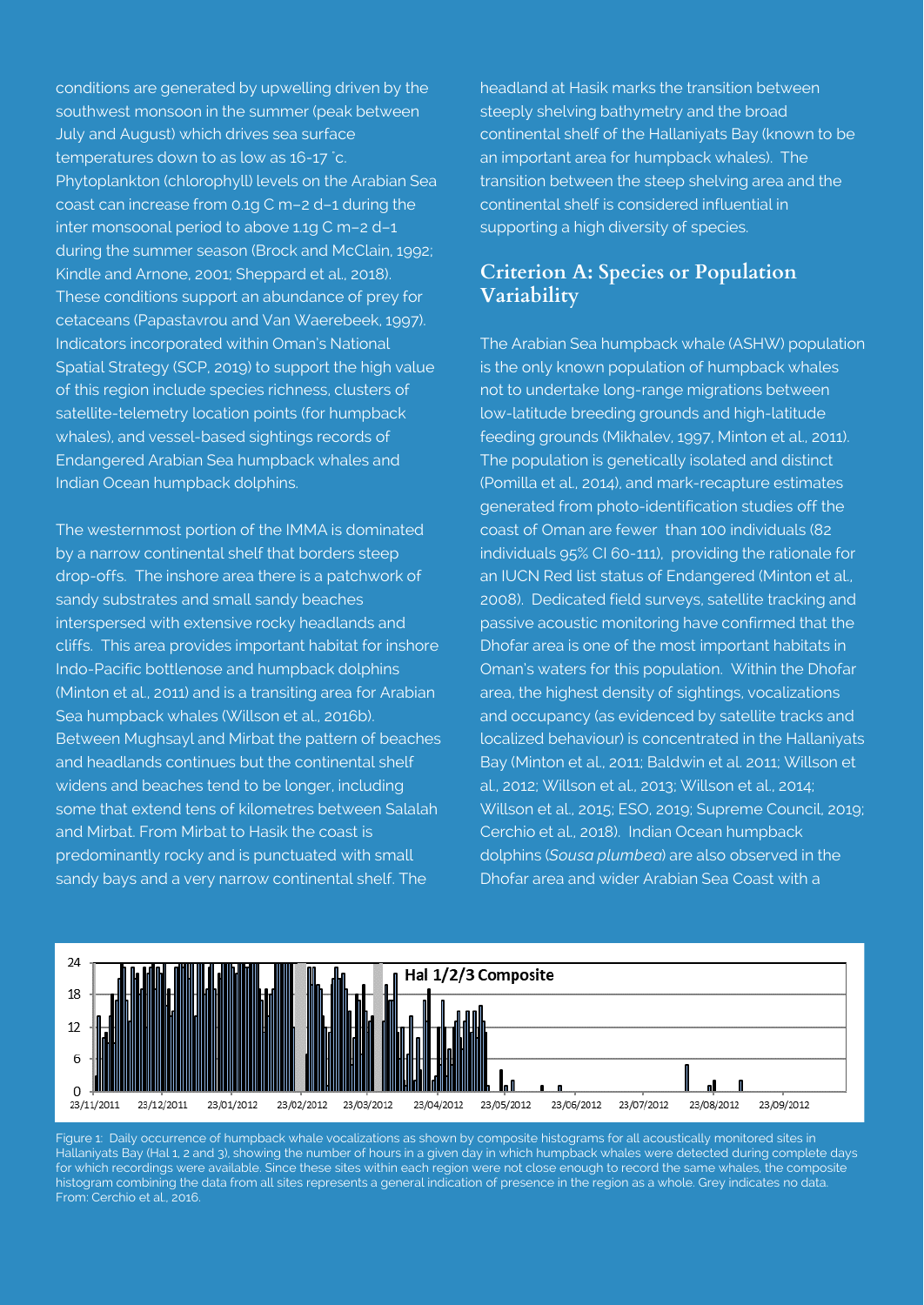conditions are generated by upwelling driven by the southwest monsoon in the summer (peak between July and August) which drives sea surface temperatures down to as low as 16-17 ˚c. Phytoplankton (chlorophyll) levels on the Arabian Sea coast can increase from 0.1g C m–2 d–1 during the inter monsoonal period to above 1.1g C m–2 d–1 during the summer season (Brock and McClain, 1992; Kindle and Arnone, 2001; Sheppard et al., 2018). These conditions support an abundance of prey for cetaceans (Papastavrou and Van Waerebeek, 1997). Indicators incorporated within Oman's National Spatial Strategy (SCP, 2019) to support the high value of this region include species richness, clusters of satellite-telemetry location points (for humpback whales), and vessel-based sightings records of Endangered Arabian Sea humpback whales and Indian Ocean humpback dolphins.

The westernmost portion of the IMMA is dominated by a narrow continental shelf that borders steep drop-offs. The inshore area there is a patchwork of sandy substrates and small sandy beaches interspersed with extensive rocky headlands and cliffs. This area provides important habitat for inshore Indo-Pacific bottlenose and humpback dolphins (Minton et al., 2011) and is a transiting area for Arabian Sea humpback whales (Willson et al., 2016b). Between Mughsayl and Mirbat the pattern of beaches and headlands continues but the continental shelf widens and beaches tend to be longer, including some that extend tens of kilometres between Salalah and Mirbat. From Mirbat to Hasik the coast is predominantly rocky and is punctuated with small sandy bays and a very narrow continental shelf. The

headland at Hasik marks the transition between steeply shelving bathymetry and the broad continental shelf of the Hallaniyats Bay (known to be an important area for humpback whales). The transition between the steep shelving area and the continental shelf is considered influential in supporting a high diversity of species.

#### **Criterion A: Species or Population Variability**

The Arabian Sea humpback whale (ASHW) population is the only known population of humpback whales not to undertake long-range migrations between low-latitude breeding grounds and high-latitude feeding grounds (Mikhalev, 1997, Minton et al., 2011). The population is genetically isolated and distinct (Pomilla et al., 2014), and mark-recapture estimates generated from photo-identification studies off the coast of Oman are fewer than 100 individuals (82 individuals 95% CI 60-111), providing the rationale for an IUCN Red list status of Endangered (Minton et al., 2008). Dedicated field surveys, satellite tracking and passive acoustic monitoring have confirmed that the Dhofar area is one of the most important habitats in Oman's waters for this population. Within the Dhofar area, the highest density of sightings, vocalizations and occupancy (as evidenced by satellite tracks and localized behaviour) is concentrated in the Hallaniyats Bay (Minton et al., 2011; Baldwin et al. 2011; Willson et al., 2012; Willson et al., 2013; Willson et al., 2014; Willson et al., 2015; ESO, 2019; Supreme Council, 2019; Cerchio et al., 2018). Indian Ocean humpback dolphins (*Sousa plumbea*) are also observed in the Dhofar area and wider Arabian Sea Coast with a



Figure 1: Daily occurrence of humpback whale vocalizations as shown by composite histograms for all acoustically monitored sites in Hallaniyats Bay (Hal 1, 2 and 3), showing the number of hours in a given day in which humpback whales were detected during complete days for which recordings were available. Since these sites within each region were not close enough to record the same whales, the composite histogram combining the data from all sites represents a general indication of presence in the region as a whole. Grey indicates no data. From: Cerchio et al., 2016.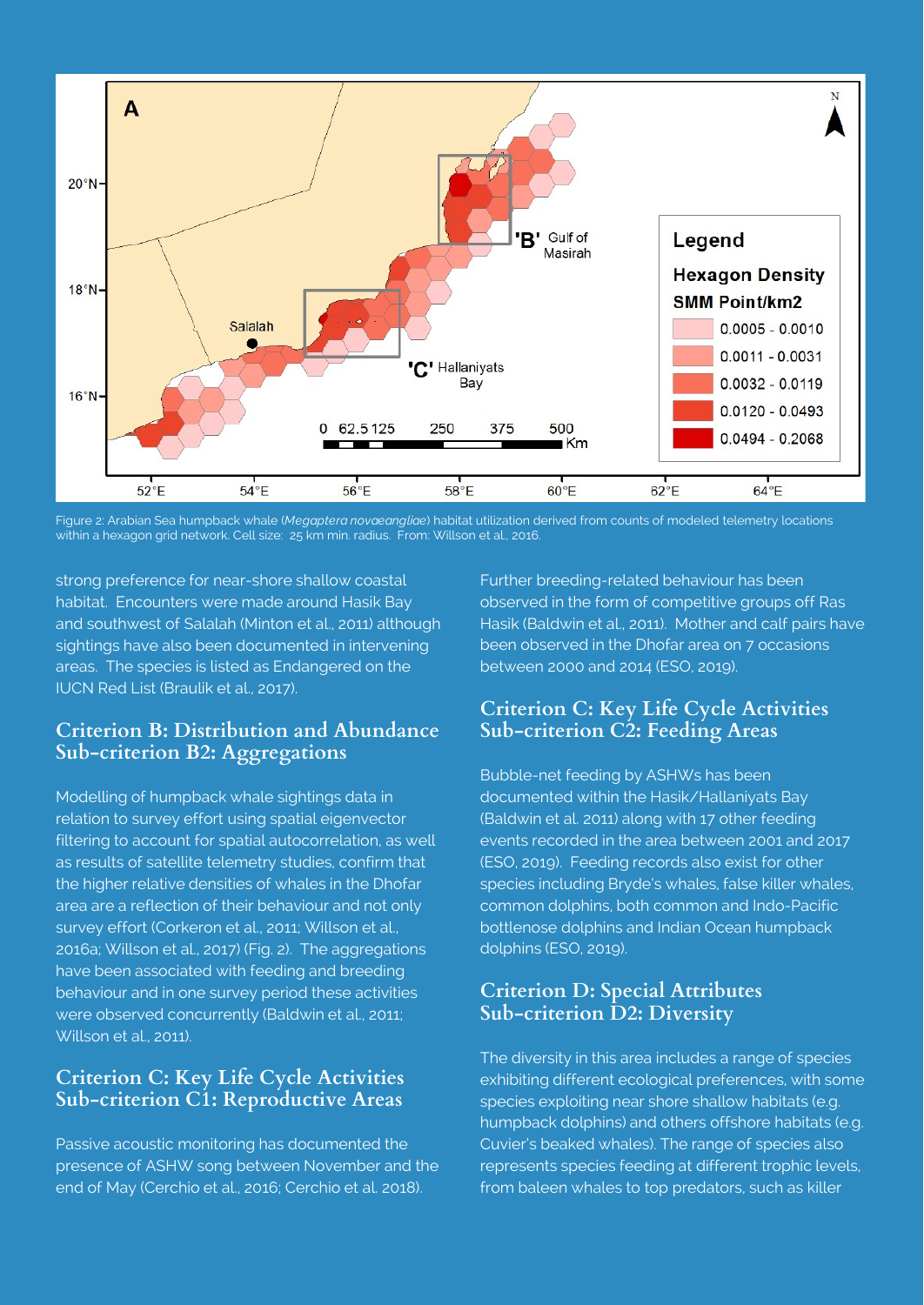

Figure 2: Arabian Sea humpback whale (*Megaptera novaeangliae*) habitat utilization derived from counts of modeled telemetry locations within a hexagon grid network. Cell size: 25 km min. radius. From: Willson et al., 2016.

strong preference for near-shore shallow coastal habitat. Encounters were made around Hasik Bay and southwest of Salalah (Minton et al., 2011) although sightings have also been documented in intervening areas. The species is listed as Endangered on the IUCN Red List (Braulik et al., 2017).

## **Criterion B: Distribution and Abundance Sub-criterion B2: Aggregations**

Modelling of humpback whale sightings data in relation to survey effort using spatial eigenvector filtering to account for spatial autocorrelation, as well as results of satellite telemetry studies, confirm that the higher relative densities of whales in the Dhofar area are a reflection of their behaviour and not only survey effort (Corkeron et al., 2011; Willson et al., 2016a; Willson et al., 2017) (Fig. 2). The aggregations have been associated with feeding and breeding behaviour and in one survey period these activities were observed concurrently (Baldwin et al., 2011; Willson et al., 2011).

# **Criterion C: Key Life Cycle Activities Sub-criterion C1: Reproductive Areas**

Passive acoustic monitoring has documented the presence of ASHW song between November and the end of May (Cerchio et al., 2016; Cerchio et al. 2018).

Further breeding-related behaviour has been observed in the form of competitive groups off Ras Hasik (Baldwin et al., 2011). Mother and calf pairs have been observed in the Dhofar area on 7 occasions between 2000 and 2014 (ESO, 2019).

# **Criterion C: Key Life Cycle Activities Sub-criterion C2: Feeding Areas**

Bubble-net feeding by ASHWs has been documented within the Hasik/Hallaniyats Bay (Baldwin et al. 2011) along with 17 other feeding events recorded in the area between 2001 and 2017 (ESO, 2019). Feeding records also exist for other species including Bryde's whales, false killer whales, common dolphins, both common and Indo-Pacific bottlenose dolphins and Indian Ocean humpback dolphins (ESO, 2019).

# **Criterion D: Special Attributes Sub-criterion D2: Diversity**

The diversity in this area includes a range of species exhibiting different ecological preferences, with some species exploiting near shore shallow habitats (e.g. humpback dolphins) and others offshore habitats (e.g. Cuvier's beaked whales). The range of species also represents species feeding at different trophic levels, from baleen whales to top predators, such as killer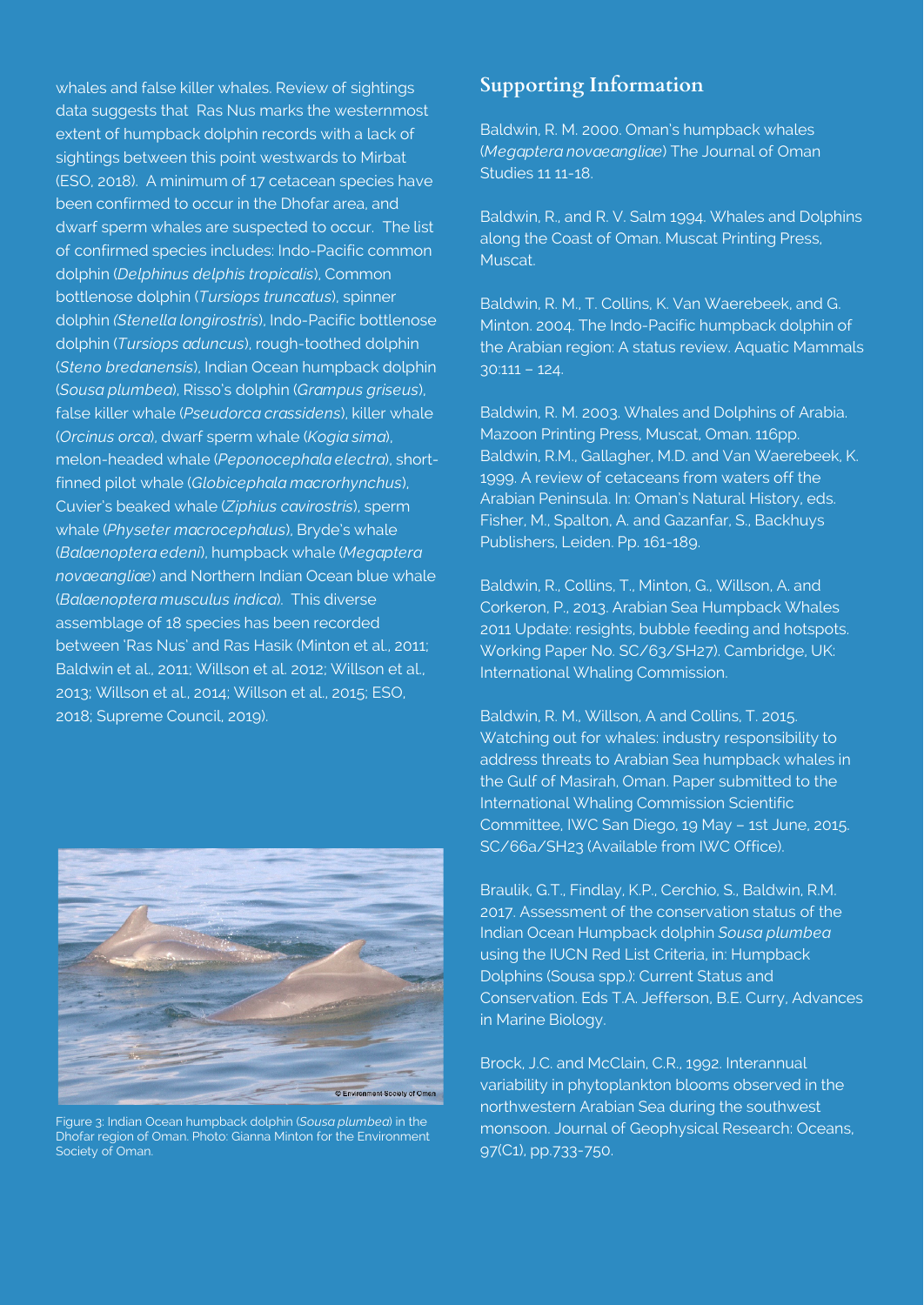whales and false killer whales. Review of sightings data suggests that Ras Nus marks the westernmost extent of humpback dolphin records with a lack of sightings between this point westwards to Mirbat (ESO, 2018). A minimum of 17 cetacean species have been confirmed to occur in the Dhofar area, and dwarf sperm whales are suspected to occur. The list of confirmed species includes: Indo-Pacific common dolphin (*Delphinus delphis tropicalis*), Common bottlenose dolphin (*Tursiops truncatus*), spinner dolphin *(Stenella longirostris*), Indo-Pacific bottlenose dolphin (*Tursiops aduncus*), rough-toothed dolphin (*Steno bredanensis*), Indian Ocean humpback dolphin (*Sousa plumbea*), Risso's dolphin (*Grampus griseus*), false killer whale (*Pseudorca crassidens*), killer whale (*Orcinus orca*), dwarf sperm whale (*Kogia sima*), melon-headed whale (*Peponocephala electra*), shortfinned pilot whale (*Globicephala macrorhynchus*), Cuvier's beaked whale (*Ziphius cavirostris*), sperm whale (*Physeter macrocephalus*), Bryde's whale (*Balaenoptera edeni*), humpback whale (*Megaptera novaeangliae*) and Northern Indian Ocean blue whale (*Balaenoptera musculus indica*). This diverse assemblage of 18 species has been recorded between 'Ras Nus' and Ras Hasik (Minton et al., 2011; Baldwin et al., 2011; Willson et al. 2012; Willson et al., 2013; Willson et al., 2014; Willson et al., 2015; ESO, 2018; Supreme Council, 2019).



Figure 3: Indian Ocean humpback dolphin (*Sousa plumbea*) in the Dhofar region of Oman. Photo: Gianna Minton for the Environment Society of Oman.

# **Supporting Information**

Baldwin, R. M. 2000. Oman's humpback whales (*Megaptera novaeangliae*) The Journal of Oman Studies 11 11-18.

Baldwin, R., and R. V. Salm 1994. Whales and Dolphins along the Coast of Oman. Muscat Printing Press, Muscat.

Baldwin, R. M., T. Collins, K. Van Waerebeek, and G. Minton. 2004. The Indo-Pacific humpback dolphin of the Arabian region: A status review. Aquatic Mammals 30:111 – 124.

Baldwin, R. M. 2003. Whales and Dolphins of Arabia. Mazoon Printing Press, Muscat, Oman. 116pp. Baldwin, R.M., Gallagher, M.D. and Van Waerebeek, K. 1999. A review of cetaceans from waters off the Arabian Peninsula. In: Oman's Natural History, eds. Fisher, M., Spalton, A. and Gazanfar, S., Backhuys Publishers, Leiden. Pp. 161-189.

Baldwin, R., Collins, T., Minton, G., Willson, A. and Corkeron, P., 2013. Arabian Sea Humpback Whales 2011 Update: resights, bubble feeding and hotspots. Working Paper No. SC/63/SH27). Cambridge, UK: International Whaling Commission.

Baldwin, R. M., Willson, A and Collins, T. 2015. Watching out for whales: industry responsibility to address threats to Arabian Sea humpback whales in the Gulf of Masirah, Oman. Paper submitted to the International Whaling Commission Scientific Committee, IWC San Diego, 19 May – 1st June, 2015. SC/66a/SH23 (Available from IWC Office).

Braulik, G.T., Findlay, K.P., Cerchio, S., Baldwin, R.M. 2017. Assessment of the conservation status of the Indian Ocean Humpback dolphin *Sousa plumbea*  using the IUCN Red List Criteria, in: Humpback Dolphins (Sousa spp.): Current Status and Conservation. Eds T.A. Jefferson, B.E. Curry, Advances in Marine Biology.

Brock, J.C. and McClain, C.R., 1992. Interannual variability in phytoplankton blooms observed in the northwestern Arabian Sea during the southwest monsoon. Journal of Geophysical Research: Oceans, 97(C1), pp.733-750.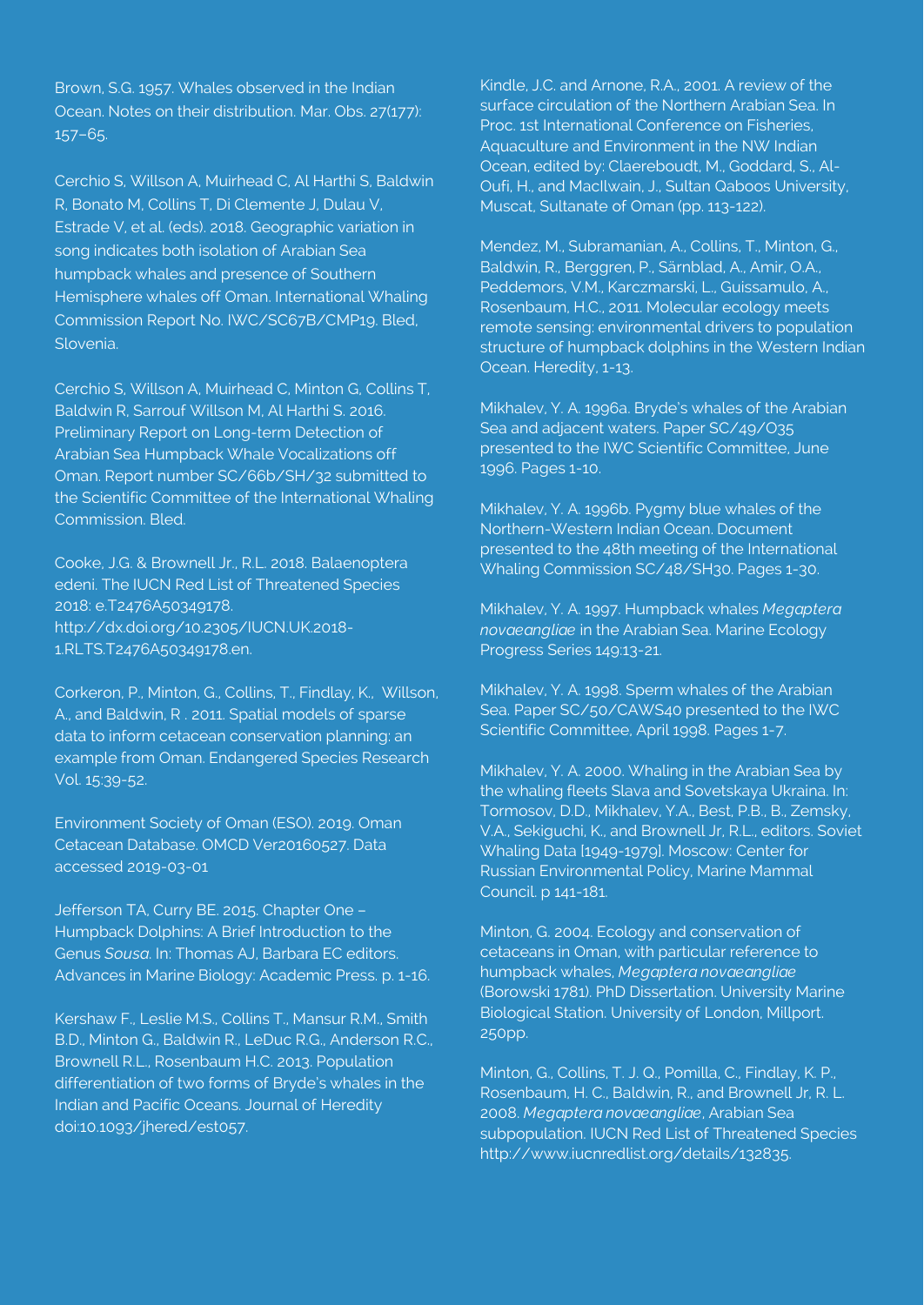Brown, S.G. 1957. Whales observed in the Indian Ocean. Notes on their distribution. Mar. Obs. 27(177): 157–65.

Cerchio S, Willson A, Muirhead C, Al Harthi S, Baldwin R, Bonato M, Collins T, Di Clemente J, Dulau V, Estrade V, et al. (eds). 2018. Geographic variation in song indicates both isolation of Arabian Sea humpback whales and presence of Southern Hemisphere whales off Oman. International Whaling Commission Report No. IWC/SC67B/CMP19. Bled, Slovenia.

Cerchio S, Willson A, Muirhead C, Minton G, Collins T, Baldwin R, Sarrouf Willson M, Al Harthi S. 2016. Preliminary Report on Long-term Detection of Arabian Sea Humpback Whale Vocalizations off Oman. Report number SC/66b/SH/32 submitted to the Scientific Committee of the International Whaling Commission. Bled.

Cooke, J.G. & Brownell Jr., R.L. 2018. Balaenoptera edeni. The IUCN Red List of Threatened Species 2018: e.T2476A50349178. http://dx.doi.org/10.2305/IUCN.UK.2018- 1.RLTS.T2476A50349178.en.

Corkeron, P., Minton, G., Collins, T., Findlay, K., Willson, A., and Baldwin, R . 2011. Spatial models of sparse data to inform cetacean conservation planning: an example from Oman. Endangered Species Research Vol. 15:39-52.

Environment Society of Oman (ESO). 2019. Oman Cetacean Database. OMCD Ver20160527. Data accessed 2019-03-01

Jefferson TA, Curry BE. 2015. Chapter One – Humpback Dolphins: A Brief Introduction to the Genus *Sousa*. In: Thomas AJ, Barbara EC editors. Advances in Marine Biology: Academic Press. p. 1-16.

Kershaw F., Leslie M.S., Collins T., Mansur R.M., Smith B.D., Minton G., Baldwin R., LeDuc R.G., Anderson R.C., Brownell R.L., Rosenbaum H.C. 2013. Population differentiation of two forms of Bryde's whales in the Indian and Pacific Oceans. Journal of Heredity doi:10.1093/jhered/est057.

Kindle, J.C. and Arnone, R.A., 2001. A review of the surface circulation of the Northern Arabian Sea. In Proc. 1st International Conference on Fisheries, Aquaculture and Environment in the NW Indian Ocean, edited by: Claereboudt, M., Goddard, S., Al-Oufi, H., and MacIlwain, J., Sultan Qaboos University, Muscat, Sultanate of Oman (pp. 113-122).

Mendez, M., Subramanian, A., Collins, T., Minton, G., Baldwin, R., Berggren, P., Särnblad, A., Amir, O.A., Peddemors, V.M., Karczmarski, L., Guissamulo, A., Rosenbaum, H.C., 2011. Molecular ecology meets remote sensing: environmental drivers to population structure of humpback dolphins in the Western Indian Ocean. Heredity, 1-13.

Mikhalev, Y. A. 1996a. Bryde's whales of the Arabian Sea and adjacent waters. Paper SC/49/O35 presented to the IWC Scientific Committee, June 1996. Pages 1-10.

Mikhalev, Y. A. 1996b. Pygmy blue whales of the Northern-Western Indian Ocean. Document presented to the 48th meeting of the International Whaling Commission SC/48/SH30. Pages 1-30.

Mikhalev, Y. A. 1997. Humpback whales *Megaptera novaeangliae* in the Arabian Sea. Marine Ecology Progress Series 149:13-21.

Mikhalev, Y. A. 1998. Sperm whales of the Arabian Sea. Paper SC/50/CAWS40 presented to the IWC Scientific Committee, April 1998. Pages 1-7.

Mikhalev, Y. A. 2000. Whaling in the Arabian Sea by the whaling fleets Slava and Sovetskaya Ukraina. In: Tormosov, D.D., Mikhalev, Y.A., Best, P.B., B., Zemsky, V.A., Sekiguchi, K., and Brownell Jr, R.L., editors. Soviet Whaling Data [1949-1979]. Moscow: Center for Russian Environmental Policy, Marine Mammal Council. p 141-181.

Minton, G. 2004. Ecology and conservation of cetaceans in Oman, with particular reference to humpback whales, *Megaptera novaeangliae*  (Borowski 1781). PhD Dissertation. University Marine Biological Station. University of London, Millport. 250pp.

Minton, G., Collins, T. J. Q., Pomilla, C., Findlay, K. P., Rosenbaum, H. C., Baldwin, R., and Brownell Jr, R. L. 2008. *Megaptera novaeangliae*, Arabian Sea subpopulation. IUCN Red List of Threatened Species http://www.iucnredlist.org/details/132835.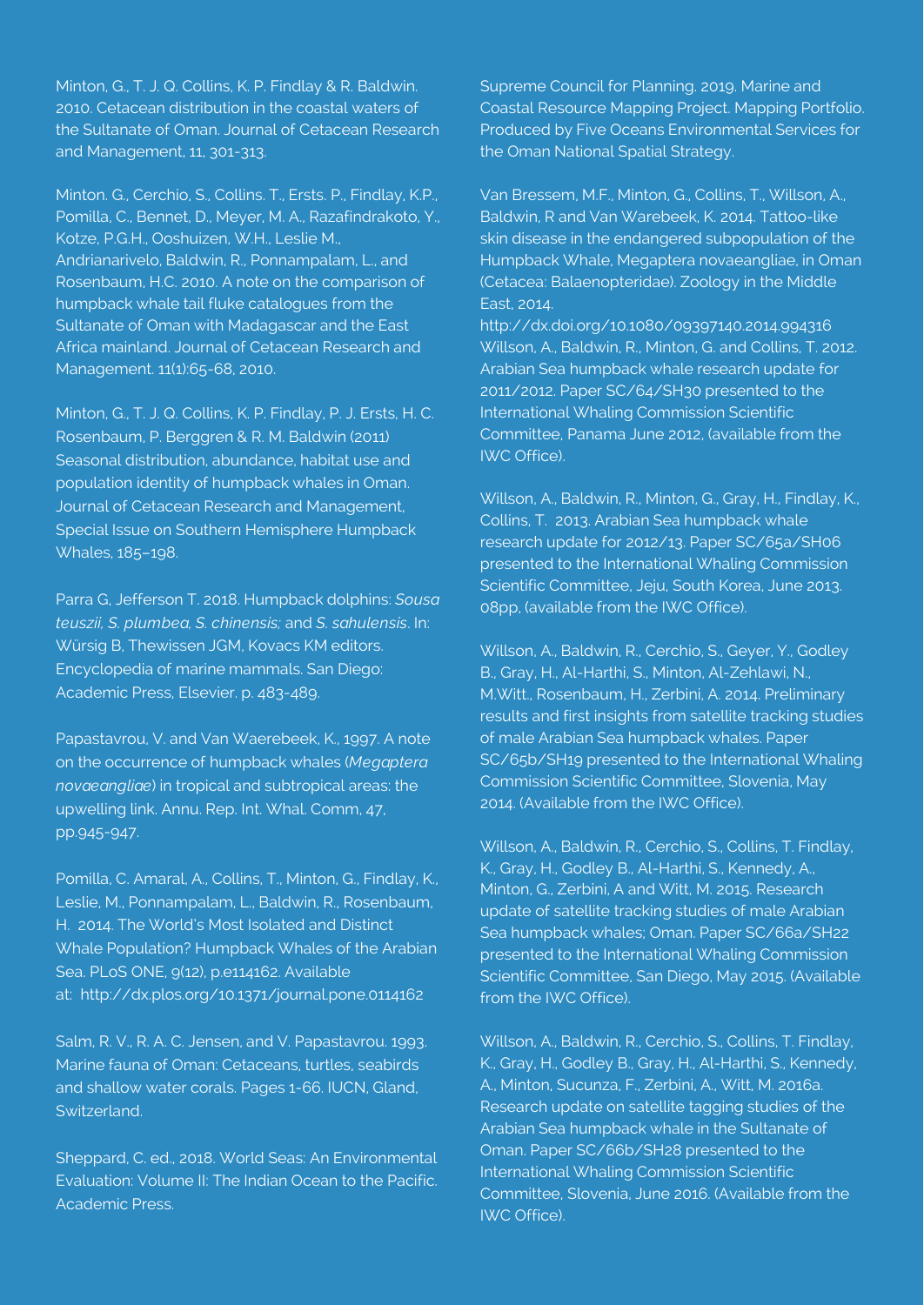Minton, G., T. J. Q. Collins, K. P. Findlay & R. Baldwin. 2010. Cetacean distribution in the coastal waters of the Sultanate of Oman. Journal of Cetacean Research and Management, 11, 301-313.

Minton. G., Cerchio, S., Collins. T., Ersts. P., Findlay, K.P., Pomilla, C., Bennet, D., Meyer, M. A., Razafindrakoto, Y., Kotze, P.G.H., Ooshuizen, W.H., Leslie M., Andrianarivelo, Baldwin, R., Ponnampalam, L., and Rosenbaum, H.C. 2010. A note on the comparison of humpback whale tail fluke catalogues from the Sultanate of Oman with Madagascar and the East Africa mainland. Journal of Cetacean Research and Management. 11(1):65-68, 2010.

Minton, G., T. J. Q. Collins, K. P. Findlay, P. J. Ersts, H. C. Rosenbaum, P. Berggren & R. M. Baldwin (2011) Seasonal distribution, abundance, habitat use and population identity of humpback whales in Oman. Journal of Cetacean Research and Management, Special Issue on Southern Hemisphere Humpback Whales, 185–198.

Parra G, Jefferson T. 2018. Humpback dolphins: *Sousa teuszii, S. plumbea, S. chinensis;* and *S. sahulensis*. In: Würsig B, Thewissen JGM, Kovacs KM editors. Encyclopedia of marine mammals. San Diego: Academic Press, Elsevier. p. 483-489.

Papastavrou, V. and Van Waerebeek, K., 1997. A note on the occurrence of humpback whales (*Megaptera novaeangliae*) in tropical and subtropical areas: the upwelling link. Annu. Rep. Int. Whal. Comm, 47, pp.945-947.

Pomilla, C. Amaral, A., Collins, T., Minton, G., Findlay, K., Leslie, M., Ponnampalam, L., Baldwin, R., Rosenbaum, H. 2014. The World's Most Isolated and Distinct Whale Population? Humpback Whales of the Arabian Sea. PLoS ONE, 9(12), p.e114162. Available at: http://dx.plos.org/10.1371/journal.pone.0114162

Salm, R. V., R. A. C. Jensen, and V. Papastavrou. 1993. Marine fauna of Oman: Cetaceans, turtles, seabirds and shallow water corals. Pages 1-66. IUCN, Gland, Switzerland.

Sheppard, C. ed., 2018. World Seas: An Environmental Evaluation: Volume II: The Indian Ocean to the Pacific. Academic Press.

Supreme Council for Planning. 2019. Marine and Coastal Resource Mapping Project. Mapping Portfolio. Produced by Five Oceans Environmental Services for the Oman National Spatial Strategy.

Van Bressem, M.F., Minton, G., Collins, T., Willson, A., Baldwin, R and Van Warebeek, K. 2014. Tattoo-like skin disease in the endangered subpopulation of the Humpback Whale, Megaptera novaeangliae, in Oman (Cetacea: Balaenopteridae). Zoology in the Middle East, 2014.

http://dx.doi.org/10.1080/09397140.2014.994316 Willson, A., Baldwin, R., Minton, G. and Collins, T. 2012. Arabian Sea humpback whale research update for 2011/2012. Paper SC/64/SH30 presented to the International Whaling Commission Scientific Committee, Panama June 2012, (available from the IWC Office).

Willson, A., Baldwin, R., Minton, G., Gray, H., Findlay, K., Collins, T. 2013. Arabian Sea humpback whale research update for 2012/13. Paper SC/65a/SH06 presented to the International Whaling Commission Scientific Committee, Jeju, South Korea, June 2013. 08pp, (available from the IWC Office).

Willson, A., Baldwin, R., Cerchio, S., Geyer, Y., Godley B., Gray, H., Al-Harthi, S., Minton, Al-Zehlawi, N., M.Witt., Rosenbaum, H., Zerbini, A. 2014. Preliminary results and first insights from satellite tracking studies of male Arabian Sea humpback whales. Paper SC/65b/SH19 presented to the International Whaling Commission Scientific Committee, Slovenia, May 2014. (Available from the IWC Office).

Willson, A., Baldwin, R., Cerchio, S., Collins, T. Findlay, K., Gray, H., Godley B., Al-Harthi, S., Kennedy, A., Minton, G., Zerbini, A and Witt, M. 2015. Research update of satellite tracking studies of male Arabian Sea humpback whales; Oman. Paper SC/66a/SH22 presented to the International Whaling Commission Scientific Committee, San Diego, May 2015. (Available from the IWC Office).

Willson, A., Baldwin, R., Cerchio, S., Collins, T. Findlay, K., Gray, H., Godley B., Gray, H., Al-Harthi, S., Kennedy, A., Minton, Sucunza, F., Zerbini, A., Witt, M. 2016a. Research update on satellite tagging studies of the Arabian Sea humpback whale in the Sultanate of Oman. Paper SC/66b/SH28 presented to the International Whaling Commission Scientific Committee, Slovenia, June 2016. (Available from the IWC Office).